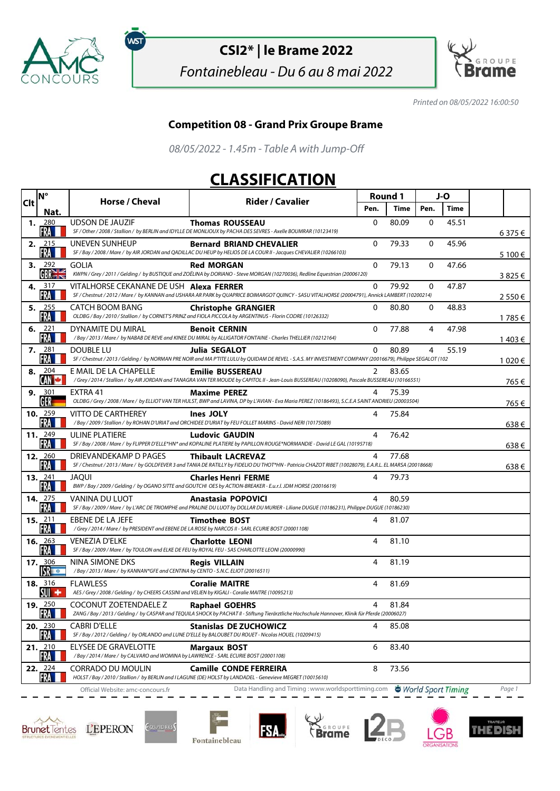

ัพรา

## **CSI2\* | le Brame 2022**

Fontainebleau - Du 6 au 8 mai 2022



Printed on 08/05/2022 16:00:50

## **Competition 08 - Grand Prix Groupe Brame**

08/05/2022 - 1.45m - Table A with Jump-Off

## **CLASSIFICATION**

| <b>Clt</b> | <b>N°</b>               | Horse / Cheval                                                                                                      | <b>Rider / Cavalier</b>                                                                                                                                                              | Round 1      |       | J-O      |                    |         |
|------------|-------------------------|---------------------------------------------------------------------------------------------------------------------|--------------------------------------------------------------------------------------------------------------------------------------------------------------------------------------|--------------|-------|----------|--------------------|---------|
|            | Nat.                    |                                                                                                                     |                                                                                                                                                                                      | Pen.         | Time  | Pen.     | Time               |         |
| 1.         | 280<br>FRA              | <b>UDSON DE JAUZIF</b>                                                                                              | <b>Thomas ROUSSEAU</b><br>SF / Other / 2008 / Stallion / by BERLIN and IDYLLE DE MONLIOUX by PACHA DES SEVRES - Axelle BOUMRAR (10123419)                                            | $\mathbf{0}$ | 80.09 | $\Omega$ | 45.51              | 6375€   |
|            | 2. $2^{15}$<br>FRA      | UNEVEN SUNHEUP                                                                                                      | <b>Bernard BRIAND CHEVALIER</b><br>SF / Bay / 2008 / Mare / by AIR JORDAN and QADILLAC DU HEUP by HELIOS DE LA COUR II - Jacques CHEVALIER (10266103)                                | $\mathbf{0}$ | 79.33 | 0        | 45.96              | 5 100 € |
| 3.         | 292<br>GBRE             | GOLIA                                                                                                               | <b>Red MORGAN</b><br>KWPN / Grey / 2011 / Gelding / by BUSTIQUE and ZOËLINA by DORIANO - Steve MORGAN (10270036), Redline Equestrian (20006120)                                      | $\mathbf{0}$ | 79.13 | 0        | 47.66              | 3825€   |
|            | 4. 317<br>FRA           | VITALHORSE CEKANANE DE USH Alexa FERRER                                                                             | SF / Chestnut / 2012 / Mare / by KANNAN and USHARA AR PARK by QUAPRICE BOIMARGOT QUINCY - SASU VITALHORSE (20004791), Annick LAMBERT (10200214)                                      | $\mathbf{0}$ | 79.92 | 0        | 47.87              | 2 550 € |
|            | 5. $255$<br>FRA         | CATCH BOOM BANG                                                                                                     | <b>Christophe GRANGIER</b><br>OLDBG / Bay / 2010 / Stallion / by CORNET'S PRINZ and FIOLA PICCOLA by ARGENTINUS - Florin CODRE (10126332)                                            | $\Omega$     | 80.80 | $\Omega$ | 48.83              |         |
| 6.         | 221<br>FRA              | DYNAMITE DU MIRAL                                                                                                   | <b>Benoit CERNIN</b><br>/Bay/2013/Mare/ by NABAB DE REVE and KINEE DU MIRAL by ALLIGATOR FONTAINE - Charles THELLIER (10212164)                                                      | $\mathbf{0}$ | 77.88 | 4        | 47.98              | 1 785 € |
|            | 7. 281<br>FRA           | <b>DOUBLE LU</b>                                                                                                    | Julia SEGALOT<br>SF / Chestnut / 2013 / Gelding / by NORMAN PRE NOIR and MA PTITE LULU by QUIDAM DE REVEL - S.A.S. MY INVESTMENT COMPANY (20016679), Philippe SEGALOT (102           | 0            | 80.89 | 4        | 55.19              | 1 403 € |
| 8.         | 204<br>CAN C            | E MAIL DE LA CHAPELLE                                                                                               | <b>Emilie BUSSEREAU</b><br>/Grey / 2014 / Stallion / by AIR JORDAN and TANAGRA VAN TER MOUDE by CAPITOL II - Jean-Louis BUSSEREAU (10208090), Pascale BUSSEREAU (10166551)           | 2            | 83.65 |          |                    | 1 020 € |
|            | 9. $301$<br>GER         | EXTRA 41                                                                                                            | <b>Maxime PEREZ</b><br>OLDBG / Grey / 2008 / Mare / by ELLIOT VAN TER HULST, BWP and LAVINA, DP by L'AVIAN - Eva Maria PEREZ (10186493), S.C.E.A SAINT ANDRIEU (20003504)            | 4            | 75.39 |          |                    | 765 €   |
|            | 10. $259$<br>FRA        | <b>VITTO DE CARTHEREY</b>                                                                                           | <b>Ines JOLY</b><br>/Bay/2009/Stallion/ by ROHAN D'URIAT and ORCHIDEE D'URIAT by FEU FOLLET MARINS - David NERI (10175089)                                                           | 4            | 75.84 |          |                    | 765 €   |
|            | 11. 249<br>FRA          | <b>ULINE PLATIERE</b>                                                                                               | <b>Ludovic GAUDIN</b><br>SF / Bay / 2008 / Mare / by FLIPPER D'ELLE*HN* and KOPALINE PLATIERE by PAPILLON ROUGE*NORMANDIE - David LE GAL (10195718)                                  | 4            | 76.42 |          |                    | 638€    |
|            | <b>12.</b> 260<br>FRA   | DRIEVANDEKAMP D PAGES                                                                                               | <b>Thibault LACREVAZ</b><br>SF / Chestnut / 2013 / Mare / by GOLDFEVER 3 and TANIA DE RATILLY by FIDELIO DU THOT*HN - Patricia CHAZOT RIBET (10028079), E.A.R.L. EL MARSA (20018668) | 4            | 77.68 |          |                    | 638€    |
|            | 13. $241$<br>FRA        | JAOUI                                                                                                               | <b>Charles Henri FERME</b><br>BWP / Bay / 2009 / Gelding / by OGANO SITTE and GOUTCHI OES by ACTION-BREAKER - E.u.r.l. JDM HORSE (20016619)                                          | 4            | 79.73 |          |                    | 638€    |
|            | <b>14.</b> 275<br>FRA   | VANINA DU LUOT                                                                                                      | <b>Anastasia POPOVICI</b><br>SF / Bay / 2009 / Mare / by L'ARC DE TRIOMPHE and PRALINE DU LUOT by DOLLAR DU MURIER - Liliane DUGUE (10186231), Philippe DUGUE (10186230)             | 4            | 80.59 |          |                    |         |
|            | 15. $211$<br>FRA        | EBENE DE LA JEFE                                                                                                    | <b>Timothee BOST</b><br>/Grey / 2014 / Mare / by PRESIDENT and EBENE DE LA ROSE by NARCOS II - SARL ECURIE BOST (20001108)                                                           | 4            | 81.07 |          |                    |         |
|            | 16. $263$<br>FRA        | VENEZIA D'ELKE<br>SF / Bay / 2009 / Mare / by TOULON and ELKE DE FEU by ROYAL FEU - SAS CHARLOTTE LEONI (20000990)  | <b>Charlotte LEONI</b>                                                                                                                                                               | 4            | 81.10 |          |                    |         |
|            | 17. 306<br>$S_{\rm R}$  | NINA SIMONE DKS<br>/Bay / 2013 / Mare / by KANNAN*GFE and CENTINA by CENTO - S.N.C. ELIOT (20016511)                | <b>Reais VILLAIN</b>                                                                                                                                                                 | 4            | 81.19 |          |                    |         |
|            | <b>18.</b> 316<br>SUI + | <b>FLAWLESS</b><br>AES / Grey / 2008 / Gelding / by CHEERS CASSINI and VELIEN by KIGALI - Coralie MAITRE (10095213) | <b>Coralie MAITRE</b>                                                                                                                                                                | 4            | 81.69 |          |                    |         |
|            | 19. 250<br>FRA <b>H</b> | COCONUT ZOETENDAELE Z                                                                                               | <b>Raphael GOEHRS</b><br>ZANG / Bay / 2013 / Gelding / by CASPAR and TEQUILA SHOCK by PACHAT II - Stiftung Tierärztliche Hochschule Hannover, Klinik für Pferde (20006027)           | 4            | 81.84 |          |                    |         |
|            | 20. 230<br>FRA          | <b>CABRI D'ELLE</b>                                                                                                 | <b>Stanislas DE ZUCHOWICZ</b><br>SF / Bay / 2012 / Gelding / by ORLANDO and LUNE D'ELLE by BALOUBET DU ROUET - Nicolas HOUEL (10209415)                                              | 4            | 85.08 |          |                    |         |
|            | 21.210<br>FRA           | ELYSEE DE GRAVELOTTE<br>/Bay / 2014 / Mare / by CALVARO and WOMINA by LAWRENCE - SARL ECURIE BOST (20001108)        | <b>Margaux BOST</b>                                                                                                                                                                  | 6            | 83.40 |          |                    |         |
|            | 22. 224<br>FRA          | CORRADO DU MOULIN                                                                                                   | <b>Camille CONDE FERREIRA</b><br>HOLST/Bay/2010/Stallion/by BERLIN and I LAGUNE (DE) HOLST by LANDADEL - Genevieve MEGRET (10015610)                                                 | 8            | 73.56 |          |                    |         |
|            |                         | Official Website: amc-concours.fr                                                                                   | Data Handling and Timing: www.worldsporttiming.com                                                                                                                                   |              |       |          | World Sport Timing | Page 1  |